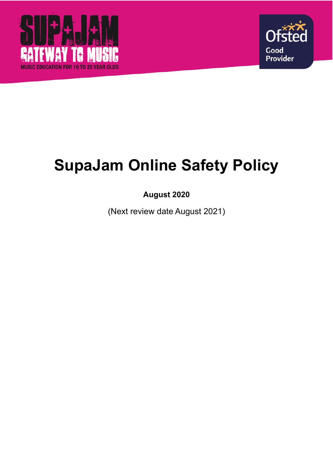



# **SupaJam Online Safety Policy**

# **August 2020**

(Next review date August 2021)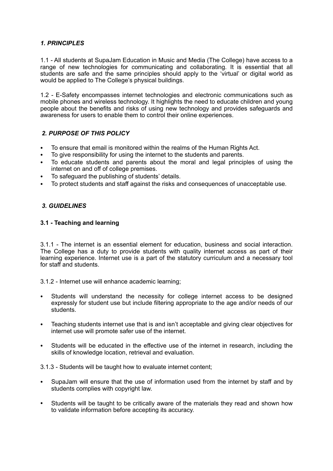# *1. PRINCIPLES*

1.1 - All students at SupaJam Education in Music and Media (The College) have access to a range of new technologies for communicating and collaborating. It is essential that all students are safe and the same principles should apply to the 'virtual' or digital world as would be applied to The College's physical buildings.

1.2 - E-Safety encompasses internet technologies and electronic communications such as mobile phones and wireless technology. It highlights the need to educate children and young people about the benefits and risks of using new technology and provides safeguards and awareness for users to enable them to control their online experiences.

# *2. PURPOSE OF THIS POLICY*

- To ensure that email is monitored within the realms of the Human Rights Act.
- To give responsibility for using the internet to the students and parents.
- To educate students and parents about the moral and legal principles of using the internet on and off of college premises.
- To safeguard the publishing of students' details.
- To protect students and staff against the risks and consequences of unacceptable use.

#### *3. GUIDELINES*

#### **3.1 - Teaching and learning**

3.1.1 - The internet is an essential element for education, business and social interaction. The College has a duty to provide students with quality internet access as part of their learning experience. Internet use is a part of the statutory curriculum and a necessary tool for staff and students.

3.1.2 - Internet use will enhance academic learning;

- Students will understand the necessity for college internet access to be designed expressly for student use but include filtering appropriate to the age and/or needs of our students.
- Teaching students internet use that is and isn't acceptable and giving clear objectives for internet use will promote safer use of the internet.
- Students will be educated in the effective use of the internet in research, including the skills of knowledge location, retrieval and evaluation.

3.1.3 - Students will be taught how to evaluate internet content;

- SupaJam will ensure that the use of information used from the internet by staff and by students complies with copyright law.
- Students will be taught to be critically aware of the materials they read and shown how to validate information before accepting its accuracy.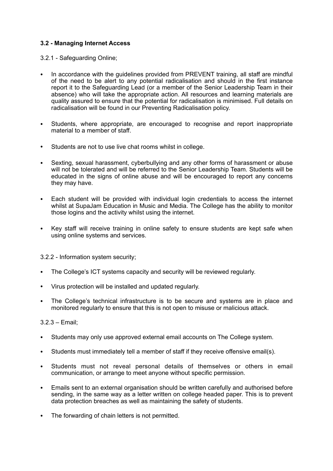# **3.2 - Managing Internet Access**

3.2.1 - Safeguarding Online;

- In accordance with the guidelines provided from PREVENT training, all staff are mindful of the need to be alert to any potential radicalisation and should in the first instance report it to the Safeguarding Lead (or a member of the Senior Leadership Team in their absence) who will take the appropriate action. All resources and learning materials are quality assured to ensure that the potential for radicalisation is minimised. Full details on radicalisation will be found in our Preventing Radicalisation policy.
- Students, where appropriate, are encouraged to recognise and report inappropriate material to a member of staff.
- Students are not to use live chat rooms whilst in college.
- Sexting, sexual harassment, cyberbullying and any other forms of harassment or abuse will not be tolerated and will be referred to the Senior Leadership Team. Students will be educated in the signs of online abuse and will be encouraged to report any concerns they may have.
- Each student will be provided with individual login credentials to access the internet whilst at SupaJam Education in Music and Media. The College has the ability to monitor those logins and the activity whilst using the internet.
- Key staff will receive training in online safety to ensure students are kept safe when using online systems and services.

3.2.2 - Information system security;

- The College's ICT systems capacity and security will be reviewed regularly.
- Virus protection will be installed and updated regularly.
- The College's technical infrastructure is to be secure and systems are in place and monitored regularly to ensure that this is not open to misuse or malicious attack.

3.2.3 – Email;

- Students may only use approved external email accounts on The College system.
- Students must immediately tell a member of staff if they receive offensive email(s).
- Students must not reveal personal details of themselves or others in email communication, or arrange to meet anyone without specific permission.
- Emails sent to an external organisation should be written carefully and authorised before sending, in the same way as a letter written on college headed paper. This is to prevent data protection breaches as well as maintaining the safety of students.
- The forwarding of chain letters is not permitted.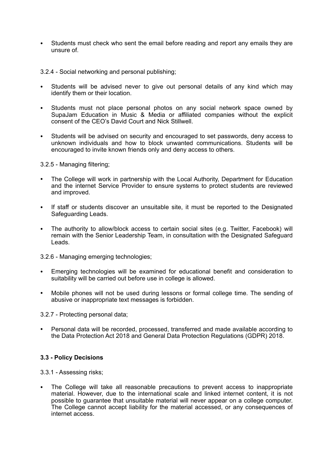Students must check who sent the email before reading and report any emails they are unsure of.

3.2.4 - Social networking and personal publishing;

- Students will be advised never to give out personal details of any kind which may identify them or their location.
- Students must not place personal photos on any social network space owned by SupaJam Education in Music & Media or affiliated companies without the explicit consent of the CEO's David Court and Nick Stillwell.
- Students will be advised on security and encouraged to set passwords, deny access to unknown individuals and how to block unwanted communications. Students will be encouraged to invite known friends only and deny access to others.

3.2.5 - Managing filtering;

- The College will work in partnership with the Local Authority, Department for Education and the internet Service Provider to ensure systems to protect students are reviewed and improved.
- If staff or students discover an unsuitable site, it must be reported to the Designated Safeguarding Leads.
- The authority to allow/block access to certain social sites (e.g. Twitter, Facebook) will remain with the Senior Leadership Team, in consultation with the Designated Safeguard Leads.

3.2.6 - Managing emerging technologies;

- Emerging technologies will be examined for educational benefit and consideration to suitability will be carried out before use in college is allowed.
- Mobile phones will not be used during lessons or formal college time. The sending of abusive or inappropriate text messages is forbidden.

3.2.7 - Protecting personal data;

• Personal data will be recorded, processed, transferred and made available according to the Data Protection Act 2018 and General Data Protection Regulations (GDPR) 2018.

### **3.3 - Policy Decisions**

3.3.1 - Assessing risks;

The College will take all reasonable precautions to prevent access to inappropriate material. However, due to the international scale and linked internet content, it is not possible to guarantee that unsuitable material will never appear on a college computer. The College cannot accept liability for the material accessed, or any consequences of internet access.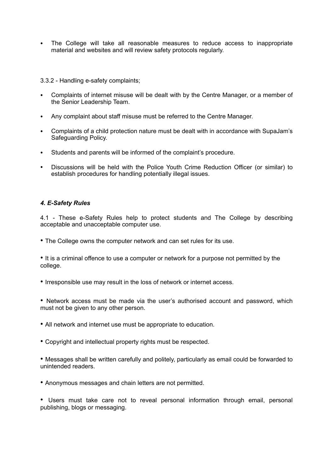• The College will take all reasonable measures to reduce access to inappropriate material and websites and will review safety protocols regularly.

3.3.2 - Handling e-safety complaints;

- Complaints of internet misuse will be dealt with by the Centre Manager, or a member of the Senior Leadership Team.
- Any complaint about staff misuse must be referred to the Centre Manager.
- Complaints of a child protection nature must be dealt with in accordance with SupaJam's Safeguarding Policy.
- Students and parents will be informed of the complaint's procedure.
- Discussions will be held with the Police Youth Crime Reduction Officer (or similar) to establish procedures for handling potentially illegal issues.

### *4. E-Safety Rules*

4.1 - These e-Safety Rules help to protect students and The College by describing acceptable and unacceptable computer use.

• The College owns the computer network and can set rules for its use.

• It is a criminal offence to use a computer or network for a purpose not permitted by the college.

• Irresponsible use may result in the loss of network or internet access.

• Network access must be made via the user's authorised account and password, which must not be given to any other person.

- All network and internet use must be appropriate to education.
- Copyright and intellectual property rights must be respected.

• Messages shall be written carefully and politely, particularly as email could be forwarded to unintended readers.

• Anonymous messages and chain letters are not permitted.

• Users must take care not to reveal personal information through email, personal publishing, blogs or messaging.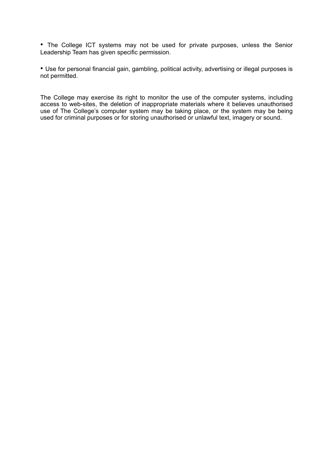• The College ICT systems may not be used for private purposes, unless the Senior Leadership Team has given specific permission.

• Use for personal financial gain, gambling, political activity, advertising or illegal purposes is not permitted.

The College may exercise its right to monitor the use of the computer systems, including access to web-sites, the deletion of inappropriate materials where it believes unauthorised use of The College's computer system may be taking place, or the system may be being used for criminal purposes or for storing unauthorised or unlawful text, imagery or sound.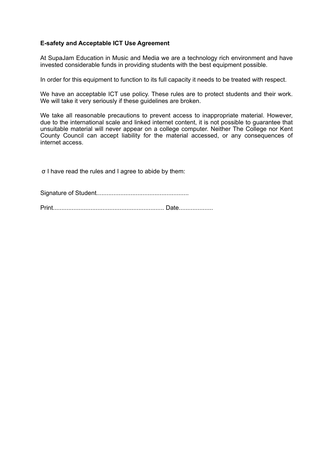## **E-safety and Acceptable ICT Use Agreement**

At SupaJam Education in Music and Media we are a technology rich environment and have invested considerable funds in providing students with the best equipment possible.

In order for this equipment to function to its full capacity it needs to be treated with respect.

We have an acceptable ICT use policy. These rules are to protect students and their work. We will take it very seriously if these quidelines are broken.

We take all reasonable precautions to prevent access to inappropriate material. However, due to the international scale and linked internet content, it is not possible to guarantee that unsuitable material will never appear on a college computer. Neither The College nor Kent County Council can accept liability for the material accessed, or any consequences of internet access.

σ I have read the rules and I agree to abide by them: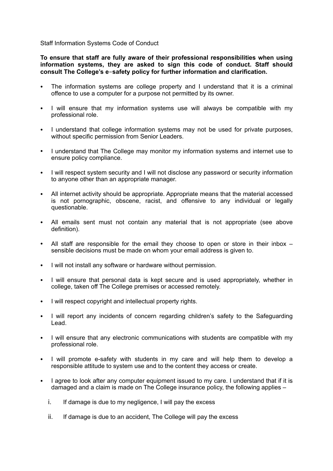Staff Information Systems Code of Conduct

**To ensure that staff are fully aware of their professional responsibilities when using information systems, they are asked to sign this code of conduct. Staff should consult The College's e**-**safety policy for further information and clarification.** 

- The information systems are college property and I understand that it is a criminal offence to use a computer for a purpose not permitted by its owner.
- I will ensure that my information systems use will always be compatible with my professional role.
- I understand that college information systems may not be used for private purposes, without specific permission from Senior Leaders.
- I understand that The College may monitor my information systems and internet use to ensure policy compliance.
- I will respect system security and I will not disclose any password or security information to anyone other than an appropriate manager.
- All internet activity should be appropriate. Appropriate means that the material accessed is not pornographic, obscene, racist, and offensive to any individual or legally questionable.
- All emails sent must not contain any material that is not appropriate (see above definition).
- All staff are responsible for the email they choose to open or store in their inbox sensible decisions must be made on whom your email address is given to.
- I will not install any software or hardware without permission.
- I will ensure that personal data is kept secure and is used appropriately, whether in college, taken off The College premises or accessed remotely.
- I will respect copyright and intellectual property rights.
- I will report any incidents of concern regarding children's safety to the Safeguarding Lead.
- I will ensure that any electronic communications with students are compatible with my professional role.
- I will promote e-safety with students in my care and will help them to develop a responsible attitude to system use and to the content they access or create.
- I agree to look after any computer equipment issued to my care. I understand that if it is damaged and a claim is made on The College insurance policy, the following applies –
	- i. If damage is due to my negligence, I will pay the excess
	- ii. If damage is due to an accident, The College will pay the excess